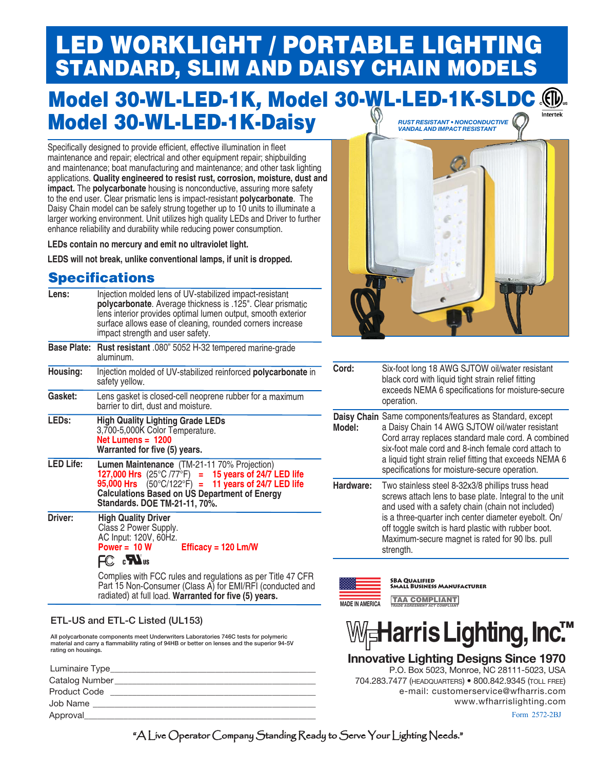# LED WORKLIGHT / PORTABLE LIGHTING<br>STANDARD, SLIM AND DAISY CHAIN MODELS

#### Model 30-WL-LED-1K, Model 30-WL-LED-1K-SLDC ... Model 30-WL-LED-1K-Daisy *rust resistant • nonconductive vandal and impact resistant*

Specifically designed to provide efficient, effective illumination in fleet maintenance and repair; electrical and other equipment repair; shipbuilding and maintenance; boat manufacturing and maintenance; and other task lighting applications. **Quality engineered to resist rust, corrosion, moisture, dust and impact.** The **polycarbonate** housing is nonconductive, assuring more safety to the end user. Clear prismatic lens is impact-resistant **polycarbonate**. The Daisy Chain model can be safely strung together up to 10 units to illuminate a larger working environment. Unit utilizes high quality LEDs and Driver to further enhance reliability and durability while reducing power consumption.

**LEDs contain no mercury and emit no ultraviolet light.**

**LEDS will not break, unlike conventional lamps, if unit is dropped.**

#### **Specifications**

| Lens:             | Injection molded lens of UV-stabilized impact-resistant<br>polycarbonate. Average thickness is .125". Clear prismatic<br>lens interior provides optimal lumen output, smooth exterior<br>surface allows ease of cleaning, rounded corners increase<br>impact strength and user safety. |
|-------------------|----------------------------------------------------------------------------------------------------------------------------------------------------------------------------------------------------------------------------------------------------------------------------------------|
|                   | Base Plate: Rust resistant .080" 5052 H-32 tempered marine-grade<br>aluminum.                                                                                                                                                                                                          |
| Housing:          | Injection molded of UV-stabilized reinforced <b>polycarbonate</b> in<br>safety yellow.                                                                                                                                                                                                 |
| Gasket:           | Lens gasket is closed-cell neoprene rubber for a maximum<br>barrier to dirt, dust and moisture.                                                                                                                                                                                        |
| LED <sub>s:</sub> | <b>High Quality Lighting Grade LEDs</b><br>3,700-5,000K Color Temperature.<br>Net Lumens $= 1200$<br>Warranted for five (5) years.                                                                                                                                                     |
| <b>LED Life:</b>  | Lumen Maintenance (TM-21-11 70% Projection)<br>127,000 Hrs $(25^{\circ}C/77^{\circ}F) = 15$ years of 24/7 LED life<br>95,000 Hrs $(50^{\circ}C/122^{\circ}F) = 11$ years of 24/7 LED life<br><b>Calculations Based on US Department of Energy</b><br>Standards. DOE TM-21-11, 70%.     |
| Driver:           | <b>High Quality Driver</b><br>Class 2 Power Supply.<br>AC Input: 120V, 60Hz.<br>Power = $10 W$<br>Efficacy = $120$ Lm/W<br>FC <b>EN</b> <sub>us</sub>                                                                                                                                  |
|                   | Complies with FCC rules and regulations as per Title 47 CFR<br>$D$ out 15 Non $O$ cuscussor (Olsse, A) for $\Gamma$ M(DE) (south instead)                                                                                                                                              |

Part 15 Non-Consumer (Class A) for EMI/RFI (conducted and radiated) at full load. **Warranted for five (5) years.**

#### ETL-US and ETL-C Listed (UL153)

All polycarbonate components meet Underwriters Laboratories 746C tests for polymeric material and carry a flammability rating of 94HB or better on lenses and the superior 94-5V rating on housings.

| Luminaire Type_     |
|---------------------|
| Catalog Number      |
| <b>Product Code</b> |
| Job Name            |
| Approval            |
|                     |



| Cord:     | Six-foot long 18 AWG SJTOW oil/water resistant<br>black cord with liquid tight strain relief fitting<br>exceeds NEMA 6 specifications for moisture-secure<br>operation.                                                                                                                                                                        |
|-----------|------------------------------------------------------------------------------------------------------------------------------------------------------------------------------------------------------------------------------------------------------------------------------------------------------------------------------------------------|
| Model:    | Daisy Chain Same components/features as Standard, except<br>a Daisy Chain 14 AWG SJTOW oil/water resistant<br>Cord array replaces standard male cord. A combined<br>six-foot male cord and 8-inch female cord attach to<br>a liquid tight strain relief fitting that exceeds NEMA 6<br>specifications for moisture-secure operation.           |
| Hardware: | Two stainless steel 8-32x3/8 phillips truss head<br>screws attach lens to base plate. Integral to the unit<br>and used with a safety chain (chain not included)<br>is a three-quarter inch center diameter eyebolt. On/<br>off toggle switch is hard plastic with rubber boot.<br>Maximum-secure magnet is rated for 90 lbs. pull<br>strength. |



SBA Qualified Small Business Manufacturer

**MADE IN AMERICA** TAA COMPLIANT *TRADE AGREEMENT ACT COMPLIANT*



**Innovative Lighting Designs Since 1970**

Form 2572-2BJ P.O. Box 5023, Monroe, NC 28111-5023, USA 704.283.7477 (headquarters) • 800.842.9345 (toll free) e-mail: customerservice@wfharris.com www.wfharrislighting.com

"A Live Operator Company Standing Ready to Serve Your Lighting Needs."